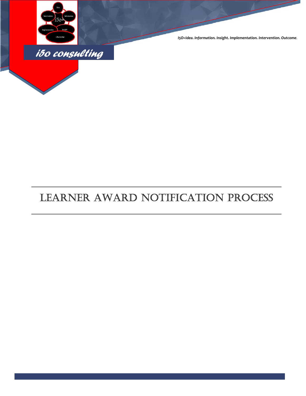

*I5O=Idea. Information. Insight. Implementation. Intervention. Outcome.*

# LEARNER AWARD NOTIFICATION PROCESS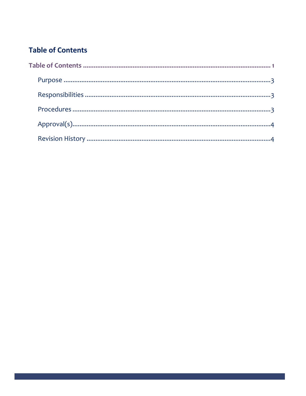## **Table of Contents**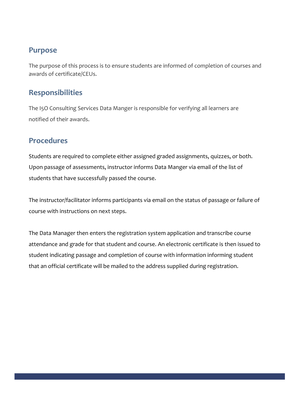## **Purpose**

The purpose of this process is to ensure students are informed of completion of courses and awards of certificate/CEUs.

## **Responsibilities**

The I5O Consulting Services Data Manger is responsible for verifying all learners are notified of their awards.

## **Procedures**

Students are required to complete either assigned graded assignments, quizzes, or both. Upon passage of assessments, instructor informs Data Manger via email of the list of students that have successfully passed the course.

The instructor/facilitator informs participants via email on the status of passage or failure of course with instructions on next steps.

The Data Manager then enters the registration system application and transcribe course attendance and grade for that student and course. An electronic certificate is then issued to student indicating passage and completion of course with information informing student that an official certificate will be mailed to the address supplied during registration.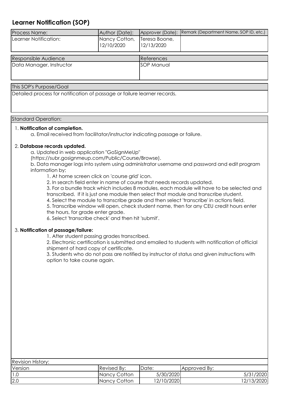### **Learner Notification (SOP)**

| Process Name:            | Author (Date):              |                             | Approver (Date): Remark (Department Name, SOP ID, etc.) |  |
|--------------------------|-----------------------------|-----------------------------|---------------------------------------------------------|--|
| Learner Notification:    | Nancy Cotton,<br>12/10/2020 | Teresa Boone,<br>12/13/2020 |                                                         |  |
| Responsible Audience     |                             | References                  |                                                         |  |
| Data Manager, Instructor |                             | SOP Manual                  |                                                         |  |
| This SOP's Purpose/Goal  |                             |                             |                                                         |  |

Detailed process for notification of passage or failure learner records.

#### Standard Operation:

#### 1. **Notification of completion.**

a. Email received from facilitator/instructor indicating passage or failure.

#### 2. **Database records updated.**

a. Updated in web application "GoSignMeUp"

(https://subr.gosignmeup.com/Public/Course/Browse).

b. Data manager logs into system using administrator username and password and edit program information by;

1. At home screen click on 'course grid' icon.

2. In search field enter in name of course that needs records updated.

3. For a bundle track which includes 8 modules, each module will have to be selected and transcribed. If it is just one module then select that module and transcribe student.

4. Select the module to transcribe grade and then select 'transcribe' in actions field.

5. Transcribe window will open, check student name, then for any CEU credit hours enter the hours, for grade enter grade.

6. Select 'transcribe check' and then hit 'submit'.

#### 3. **Notification of passage/failure:**

1. After student passing grades transcribed.

2. Electronic certification is submitted and emailed to students with notification of official shipment of hard copy of certificate.

3. Students who do not pass are notified by instructor of status and given instructions with option to take course again.

| <b>Revision History:</b> |                     |            |              |  |  |  |  |  |
|--------------------------|---------------------|------------|--------------|--|--|--|--|--|
| Version                  | <b>Revised By:</b>  | IDate:     | Approved By: |  |  |  |  |  |
|                          | <b>Nancy Cotton</b> | 5/30/2020  | 5/31/2020    |  |  |  |  |  |
| 2.0                      | Nancy Cotton        | 12/10/2020 | 12/13/2020   |  |  |  |  |  |